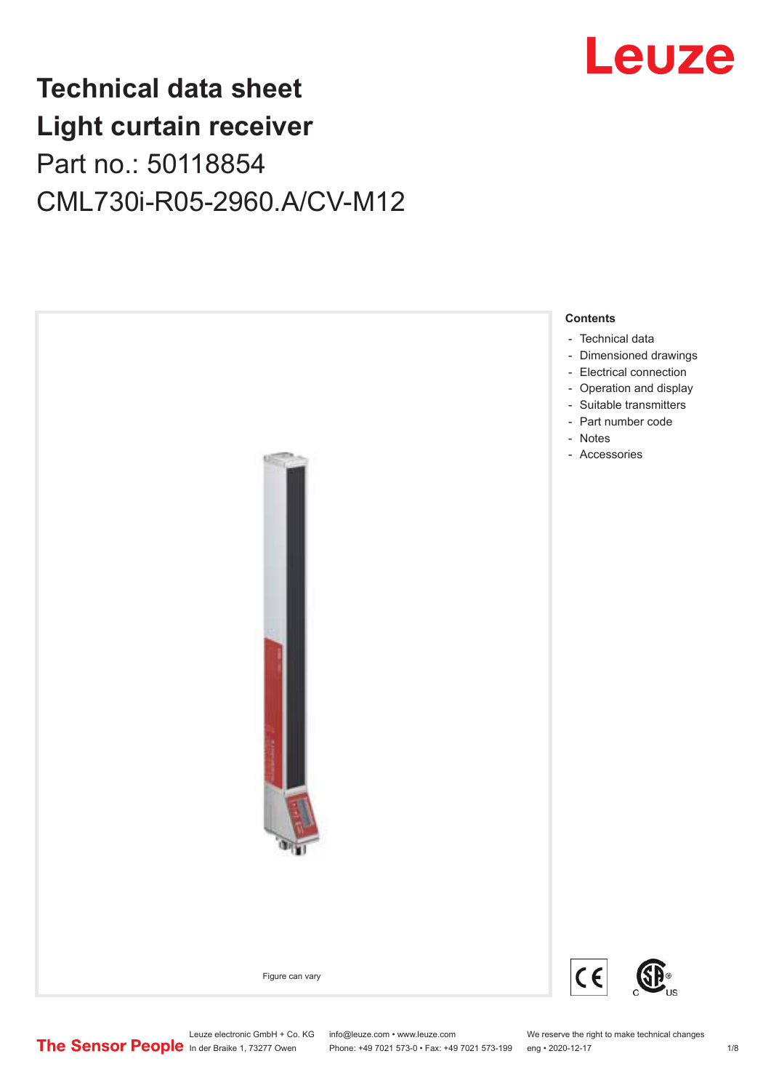

## **Technical data sheet Light curtain receiver** Part no.: 50118854 CML730i-R05-2960.A/CV-M12



Leuze electronic GmbH + Co. KG info@leuze.com • www.leuze.com We reserve the right to make technical changes<br>
The Sensor People in der Braike 1, 73277 Owen Phone: +49 7021 573-0 • Fax: +49 7021 573-199 eng • 2020-12-17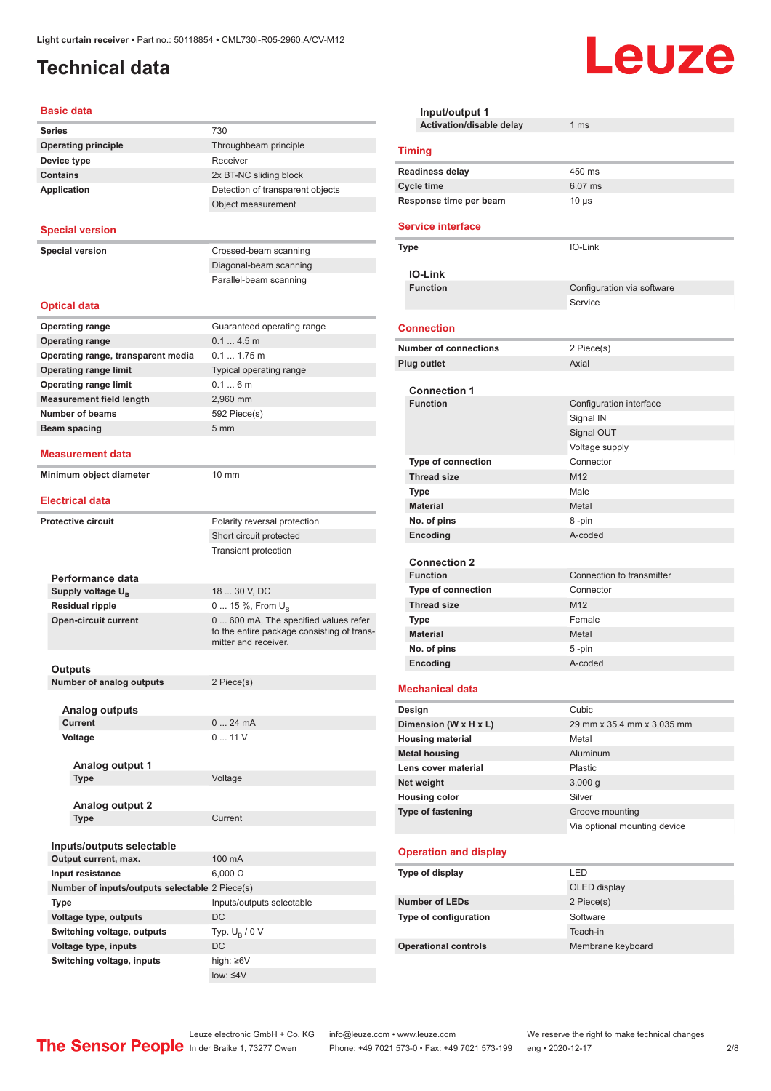## <span id="page-1-0"></span>**Technical data**

#### **Basic data**

| Series                                         | 730                                        |
|------------------------------------------------|--------------------------------------------|
| <b>Operating principle</b>                     | Throughbeam principle                      |
| Device type                                    | Receiver                                   |
| <b>Contains</b>                                | 2x BT-NC sliding block                     |
| <b>Application</b>                             | Detection of transparent objects           |
|                                                | Object measurement                         |
|                                                |                                            |
| <b>Special version</b>                         |                                            |
|                                                |                                            |
| <b>Special version</b>                         | Crossed-beam scanning                      |
|                                                | Diagonal-beam scanning                     |
|                                                | Parallel-beam scanning                     |
| <b>Optical data</b>                            |                                            |
|                                                |                                            |
| <b>Operating range</b>                         | Guaranteed operating range                 |
| <b>Operating range</b>                         | $0.14.5$ m                                 |
| Operating range, transparent media             | 0.1 1.75 m                                 |
| <b>Operating range limit</b>                   | Typical operating range                    |
| <b>Operating range limit</b>                   | 0.16m                                      |
| <b>Measurement field length</b>                | 2.960 mm                                   |
| <b>Number of beams</b>                         | 592 Piece(s)                               |
| Beam spacing                                   | 5 <sub>mm</sub>                            |
| Measurement data                               |                                            |
|                                                |                                            |
| Minimum object diameter                        | 10 mm                                      |
| <b>Electrical data</b>                         |                                            |
| <b>Protective circuit</b>                      | Polarity reversal protection               |
|                                                | Short circuit protected                    |
|                                                | <b>Transient protection</b>                |
|                                                |                                            |
| Performance data                               |                                            |
| Supply voltage $U_{\rm B}$                     | 18  30 V, DC                               |
| <b>Residual ripple</b>                         | 0  15 %, From $U_{\rm B}$                  |
| <b>Open-circuit current</b>                    | 0  600 mA, The specified values refer      |
|                                                | to the entire package consisting of trans- |
|                                                | mitter and receiver.                       |
|                                                |                                            |
| Outputs<br><b>Number of analog outputs</b>     | 2 Piece(s)                                 |
|                                                |                                            |
| <b>Analog outputs</b>                          |                                            |
| <b>Current</b>                                 | 024mA                                      |
| Voltage                                        | 011V                                       |
|                                                |                                            |
| Analog output 1                                |                                            |
| <b>Type</b>                                    | Voltage                                    |
|                                                |                                            |
| Analog output 2                                |                                            |
| <b>Type</b>                                    | Current                                    |
|                                                |                                            |
| Inputs/outputs selectable                      |                                            |
| Output current, max.                           | 100 mA                                     |
| Input resistance                               | $6,000 \Omega$                             |
| Number of inputs/outputs selectable 2 Piece(s) |                                            |
| <b>Type</b>                                    | Inputs/outputs selectable                  |
| Voltage type, outputs                          | DC                                         |
| Switching voltage, outputs                     | Typ. $U_R / 0 V$                           |
|                                                |                                            |
| Voltage type, inputs                           | DC                                         |

| Input/output 1                              |                              |
|---------------------------------------------|------------------------------|
| Activation/disable delay                    | 1 ms                         |
| <b>Timing</b>                               |                              |
| <b>Readiness delay</b>                      | 450 ms                       |
| <b>Cycle time</b>                           | 6.07 ms                      |
| Response time per beam                      | $10 \mu s$                   |
| <b>Service interface</b>                    |                              |
| Type                                        | IO-Link                      |
| <b>IO-Link</b>                              |                              |
| <b>Function</b>                             | Configuration via software   |
|                                             | Service                      |
| <b>Connection</b>                           |                              |
|                                             |                              |
| <b>Number of connections</b>                | 2 Piece(s)                   |
| <b>Plug outlet</b>                          | Axial                        |
| <b>Connection 1</b>                         |                              |
| <b>Function</b>                             | Configuration interface      |
|                                             | Signal IN                    |
|                                             | Signal OUT                   |
|                                             | Voltage supply               |
| <b>Type of connection</b>                   | Connector                    |
| <b>Thread size</b>                          | M12                          |
| <b>Type</b>                                 | Male                         |
| <b>Material</b>                             | Metal                        |
| No. of pins                                 | 8-pin                        |
| Encoding                                    | A-coded                      |
| <b>Connection 2</b>                         |                              |
| <b>Function</b>                             | Connection to transmitter    |
| <b>Type of connection</b>                   | Connector                    |
| <b>Thread size</b>                          | M <sub>12</sub>              |
| <b>Type</b>                                 | Female                       |
| <b>Material</b>                             | Metal                        |
| No. of pins                                 | 5-pin                        |
| Encoding                                    | A-coded                      |
| <b>Mechanical data</b>                      |                              |
|                                             |                              |
| Design                                      | Cubic                        |
| Dimension (W x H x L)                       | 29 mm x 35.4 mm x 3,035 mm   |
| <b>Housing material</b>                     | Metal                        |
| <b>Metal housing</b><br>Lens cover material | Aluminum<br>Plastic          |
| Net weight                                  | 3,000 g                      |
| <b>Housing color</b>                        | Silver                       |
| Type of fastening                           | Groove mounting              |
|                                             | Via optional mounting device |
|                                             |                              |
| <b>Operation and display</b>                |                              |
| Type of display                             | LED                          |
|                                             | OLED display                 |
| <b>Number of LEDs</b>                       | 2 Piece(s)                   |
| Type of configuration                       | Software                     |
|                                             | Teach-in                     |
| <b>Operational controls</b>                 | Membrane keyboard            |

Leuze

low: ≤4V

Leuze electronic GmbH + Co. KG info@leuze.com • www.leuze.com We reserve the right to make technical changes ln der Braike 1, 73277 Owen Phone: +49 7021 573-0 • Fax: +49 7021 573-199 eng • 2020-12-17 2/8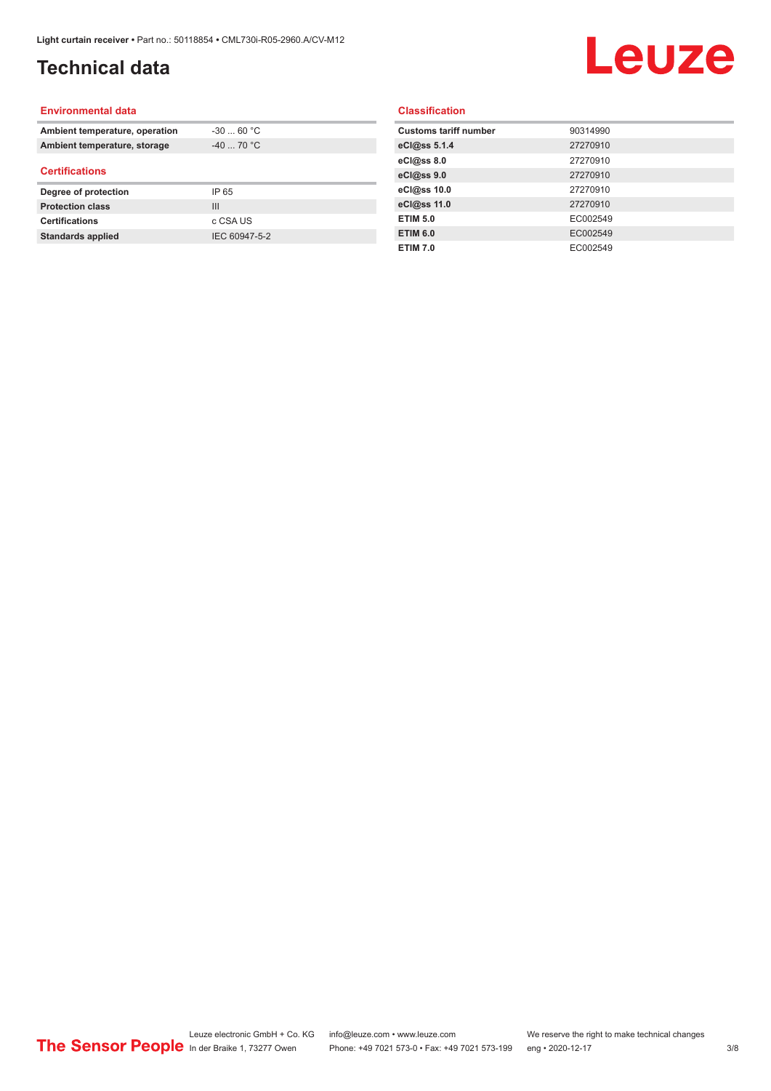## **Technical data**

# Leuze

#### **Environmental data**

| Ambient temperature, operation | $-30$ 60 °C |
|--------------------------------|-------------|
| Ambient temperature, storage   | $-40$ 70 °C |
| <b>Certifications</b>          |             |
|                                |             |
| Degree of protection           | IP 65       |
| <b>Protection class</b>        | Ш           |
| <b>Certifications</b>          | c CSA US    |

#### **Classification**

| <b>Customs tariff number</b> | 90314990 |
|------------------------------|----------|
| eCl@ss 5.1.4                 | 27270910 |
| eCl@ss 8.0                   | 27270910 |
| eCl@ss 9.0                   | 27270910 |
| eCl@ss 10.0                  | 27270910 |
| eCl@ss 11.0                  | 27270910 |
| <b>ETIM 5.0</b>              | EC002549 |
| <b>ETIM 6.0</b>              | EC002549 |
| <b>ETIM 7.0</b>              | EC002549 |
|                              |          |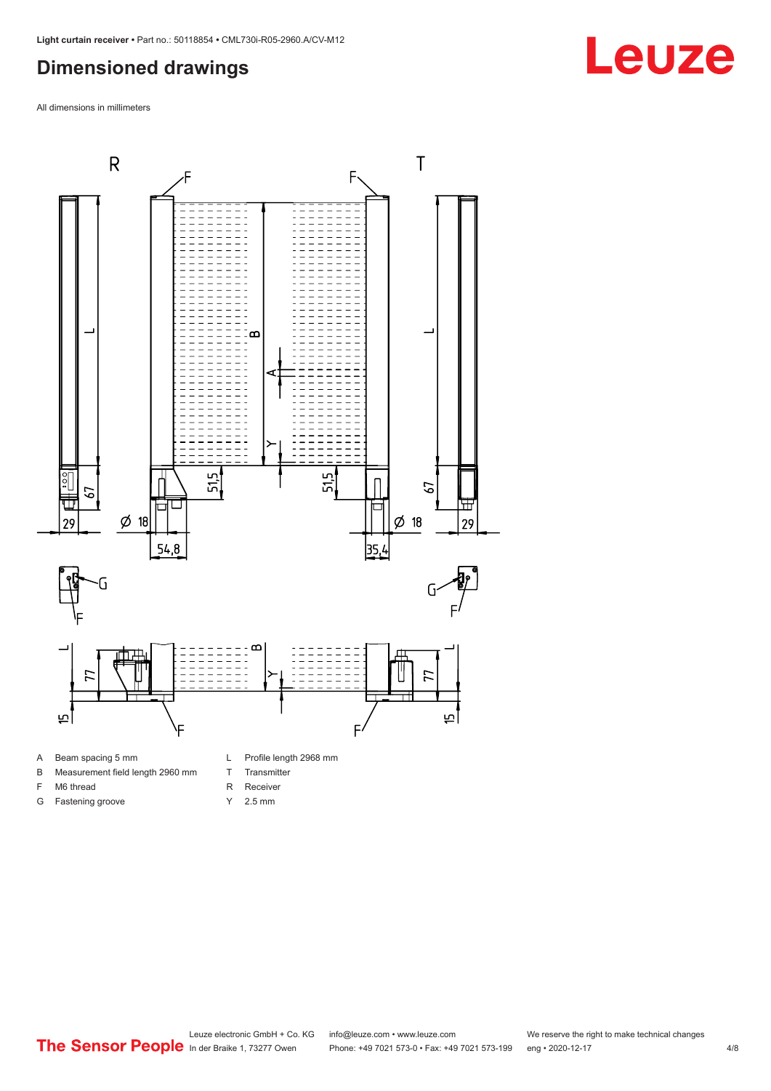### <span id="page-3-0"></span>**Dimensioned drawings**

All dimensions in millimeters



A Beam spacing 5 mm

G Fastening groove

- B Measurement field length 2960 mm
- F M6 thread
- 
- R Receiver
	- Y 2.5 mm

T Transmitter

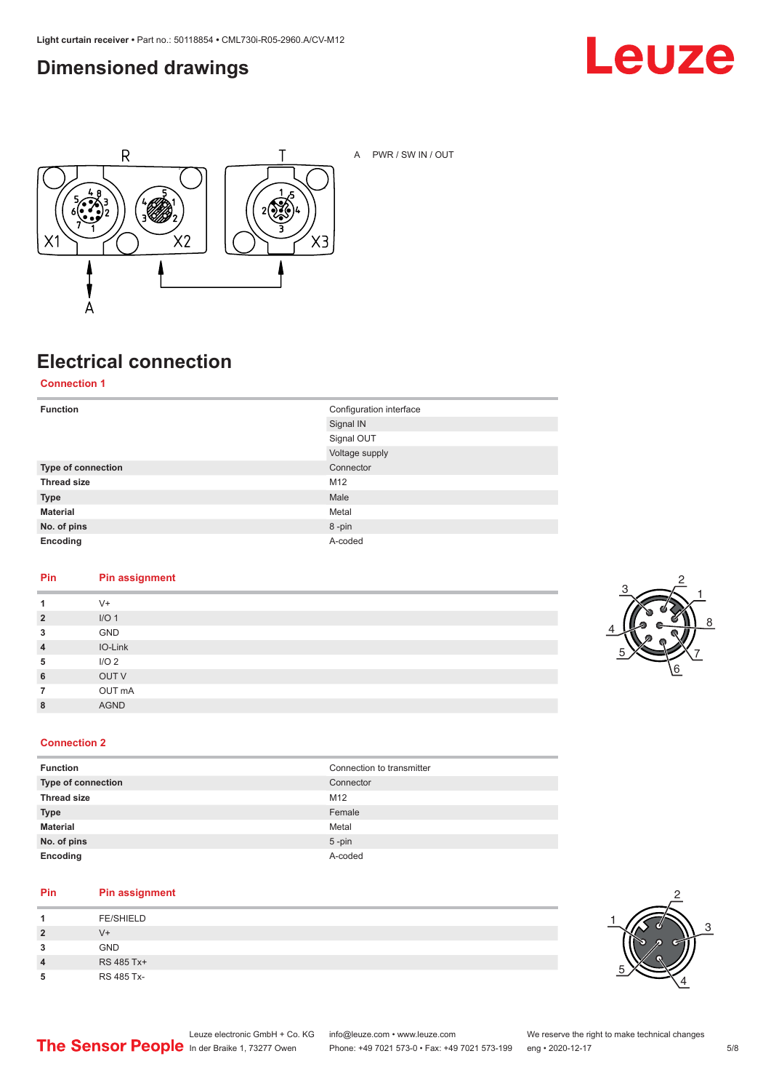#### <span id="page-4-0"></span>**Dimensioned drawings**





A PWR / SW IN / OUT

## **Electrical connection**

**Connection 1**

| <b>Function</b>    | Configuration interface<br>Signal IN |
|--------------------|--------------------------------------|
|                    | Signal OUT                           |
|                    | Voltage supply                       |
| Type of connection | Connector                            |
| <b>Thread size</b> | M12                                  |
| <b>Type</b>        | Male                                 |
| <b>Material</b>    | Metal                                |
| No. of pins        | 8-pin                                |
| Encoding           | A-coded                              |

#### **Pin Pin assignment**

| 1              | $V +$            |
|----------------|------------------|
| $\overline{2}$ | I/O <sub>1</sub> |
| 3              | GND              |
| $\overline{4}$ | IO-Link          |
| 5              | I/O <sub>2</sub> |
| 6              | OUT V            |
| $\overline{7}$ | OUT mA           |
| 8              | <b>AGND</b>      |
|                |                  |



#### **Connection 2**

| <b>Function</b>    | Connection to transmitter |
|--------------------|---------------------------|
| Type of connection | Connector                 |
| <b>Thread size</b> | M <sub>12</sub>           |
| <b>Type</b>        | Female                    |
| <b>Material</b>    | Metal                     |
| No. of pins        | $5$ -pin                  |
| Encoding           | A-coded                   |

#### **Pin Pin assignment**

| л              | <b>FE/SHIELD</b> |
|----------------|------------------|
| $\overline{2}$ | V+               |
| 3              | <b>GND</b>       |
| 4              | RS 485 Tx+       |
| 5              | RS 485 Tx-       |

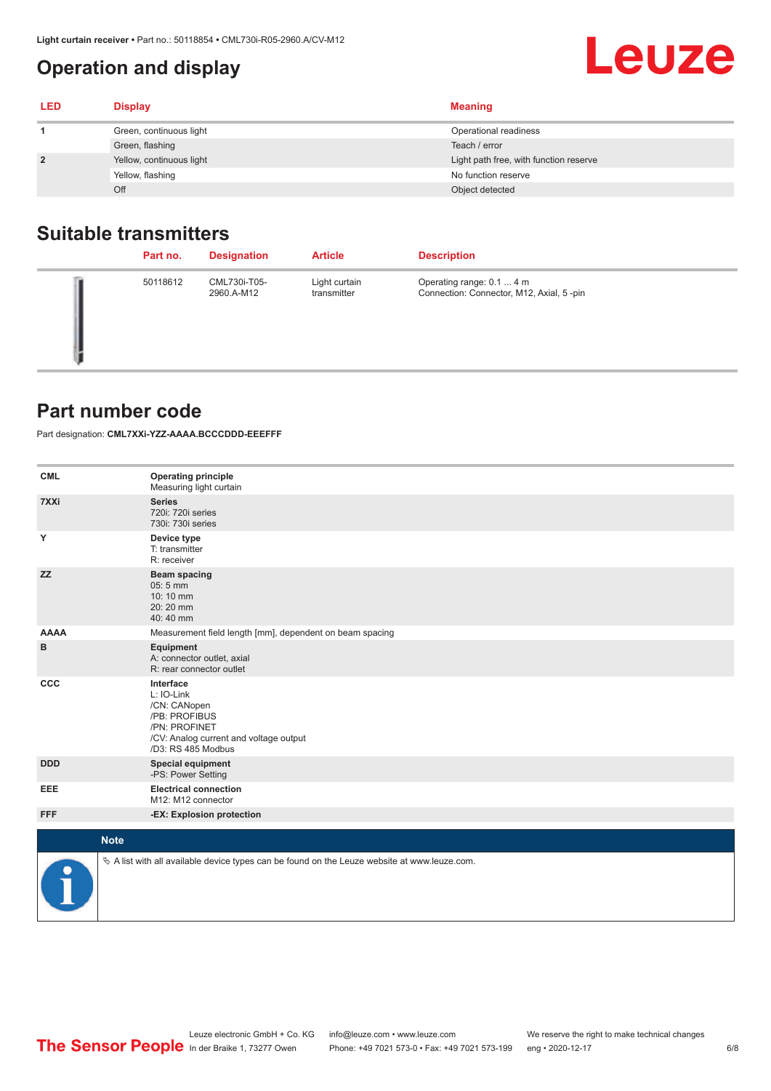## **Operation and display**

<span id="page-5-0"></span>

| <b>.ight curtain receiver •</b> Part no.: 50118854 • CML730i-R05-2960.A/CV-M12 |                          |                                        |
|--------------------------------------------------------------------------------|--------------------------|----------------------------------------|
|                                                                                | Operation and display    | Leuze                                  |
| LED                                                                            | <b>Display</b>           | <b>Meaning</b>                         |
|                                                                                | Green, continuous light  | Operational readiness                  |
|                                                                                | Green, flashing          | Teach / error                          |
|                                                                                | Yellow, continuous light | Light path free, with function reserve |
|                                                                                | Yellow, flashing         | No function reserve                    |

#### **Suitable transmitters**

| Part no. | <b>Designation</b>         | <b>Article</b>               | <b>Description</b>                                                    |
|----------|----------------------------|------------------------------|-----------------------------------------------------------------------|
| 50118612 | CML730i-T05-<br>2960.A-M12 | Light curtain<br>transmitter | Operating range: 0.1  4 m<br>Connection: Connector, M12, Axial, 5-pin |

Off Contract the Contract of Contract of Contract of Contract of Contract of Contract of Contract of Contract of Contract of Contract of Contract of Contract of Contract of Contract of Contract of Contract of Contract of C

#### **Part number code**

Part designation: **CML7XXi-YZZ-AAAA.BCCCDDD-EEEFFF**

| <b>CML</b>           | <b>Operating principle</b><br>Measuring light curtain                                                                                     |
|----------------------|-------------------------------------------------------------------------------------------------------------------------------------------|
| 7XXi                 | <b>Series</b><br>720i: 720i series<br>730i: 730i series                                                                                   |
| Y                    | Device type<br>T: transmitter<br>R: receiver                                                                                              |
| <b>ZZ</b>            | <b>Beam spacing</b><br>05:5 mm<br>10:10 mm<br>20:20 mm<br>40:40 mm                                                                        |
| <b>AAAA</b>          | Measurement field length [mm], dependent on beam spacing                                                                                  |
| в                    | Equipment<br>A: connector outlet, axial<br>R: rear connector outlet                                                                       |
| CCC                  | Interface<br>L: IO-Link<br>/CN: CANopen<br>/PB: PROFIBUS<br>/PN: PROFINET<br>/CV: Analog current and voltage output<br>/D3: RS 485 Modbus |
| <b>DDD</b>           | <b>Special equipment</b><br>-PS: Power Setting                                                                                            |
| <b>EEE</b>           | <b>Electrical connection</b><br>M12: M12 connector                                                                                        |
| <b>FFF</b>           | -EX: Explosion protection                                                                                                                 |
| <b>Note</b>          |                                                                                                                                           |
|                      |                                                                                                                                           |
| $\ddot{\phantom{a}}$ | $\&$ A list with all available device types can be found on the Leuze website at www.leuze.com.                                           |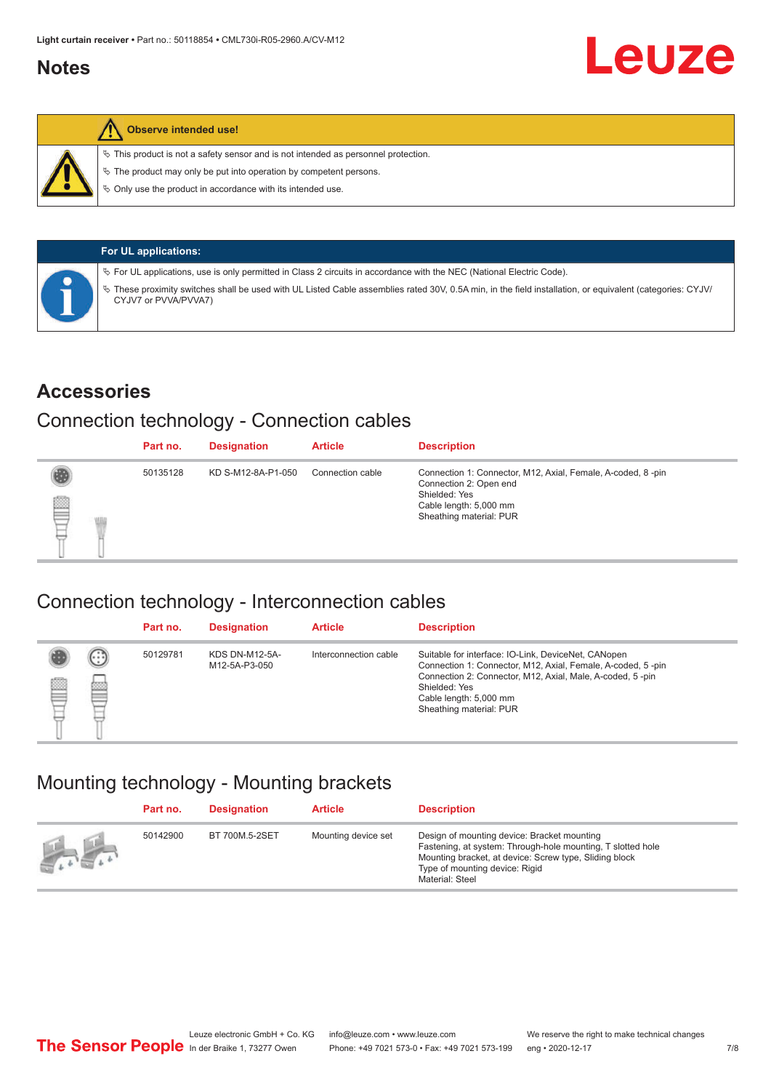#### <span id="page-6-0"></span>**Notes**



#### **Observe intended use!**

 $\%$  This product is not a safety sensor and is not intended as personnel protection.

 $\%$  The product may only be put into operation by competent persons.

 $\%$  Only use the product in accordance with its intended use.

| <b>For UL applications:</b>                                                                                                                                                       |
|-----------------------------------------------------------------------------------------------------------------------------------------------------------------------------------|
| $\%$ For UL applications, use is only permitted in Class 2 circuits in accordance with the NEC (National Electric Code).                                                          |
| V These proximity switches shall be used with UL Listed Cable assemblies rated 30V, 0.5A min, in the field installation, or equivalent (categories: CYJV/<br>CYJV7 or PVVA/PVVA7) |

#### **Accessories**

#### Connection technology - Connection cables

|   | Part no. | <b>Designation</b> | <b>Article</b>   | <b>Description</b>                                                                                                                                          |
|---|----------|--------------------|------------------|-------------------------------------------------------------------------------------------------------------------------------------------------------------|
| § | 50135128 | KD S-M12-8A-P1-050 | Connection cable | Connection 1: Connector, M12, Axial, Female, A-coded, 8-pin<br>Connection 2: Open end<br>Shielded: Yes<br>Cable length: 5,000 mm<br>Sheathing material: PUR |

#### Connection technology - Interconnection cables

|   |                   | Part no. | <b>Designation</b>                     | <b>Article</b>        | <b>Description</b>                                                                                                                                                                                                                                    |
|---|-------------------|----------|----------------------------------------|-----------------------|-------------------------------------------------------------------------------------------------------------------------------------------------------------------------------------------------------------------------------------------------------|
| e | $(\cdot$ : :<br>Þ | 50129781 | <b>KDS DN-M12-5A-</b><br>M12-5A-P3-050 | Interconnection cable | Suitable for interface: IO-Link, DeviceNet, CANopen<br>Connection 1: Connector, M12, Axial, Female, A-coded, 5-pin<br>Connection 2: Connector, M12, Axial, Male, A-coded, 5-pin<br>Shielded: Yes<br>Cable length: 5,000 mm<br>Sheathing material: PUR |

#### Mounting technology - Mounting brackets

|                                               | Part no. | <b>Designation</b> | <b>Article</b>      | <b>Description</b>                                                                                                                                                                                                        |
|-----------------------------------------------|----------|--------------------|---------------------|---------------------------------------------------------------------------------------------------------------------------------------------------------------------------------------------------------------------------|
| $\frac{1}{2}$ , $\frac{1}{2}$ , $\frac{1}{2}$ | 50142900 | BT 700M.5-2SET     | Mounting device set | Design of mounting device: Bracket mounting<br>Fastening, at system: Through-hole mounting, T slotted hole<br>Mounting bracket, at device: Screw type, Sliding block<br>Type of mounting device: Rigid<br>Material: Steel |

Leuze